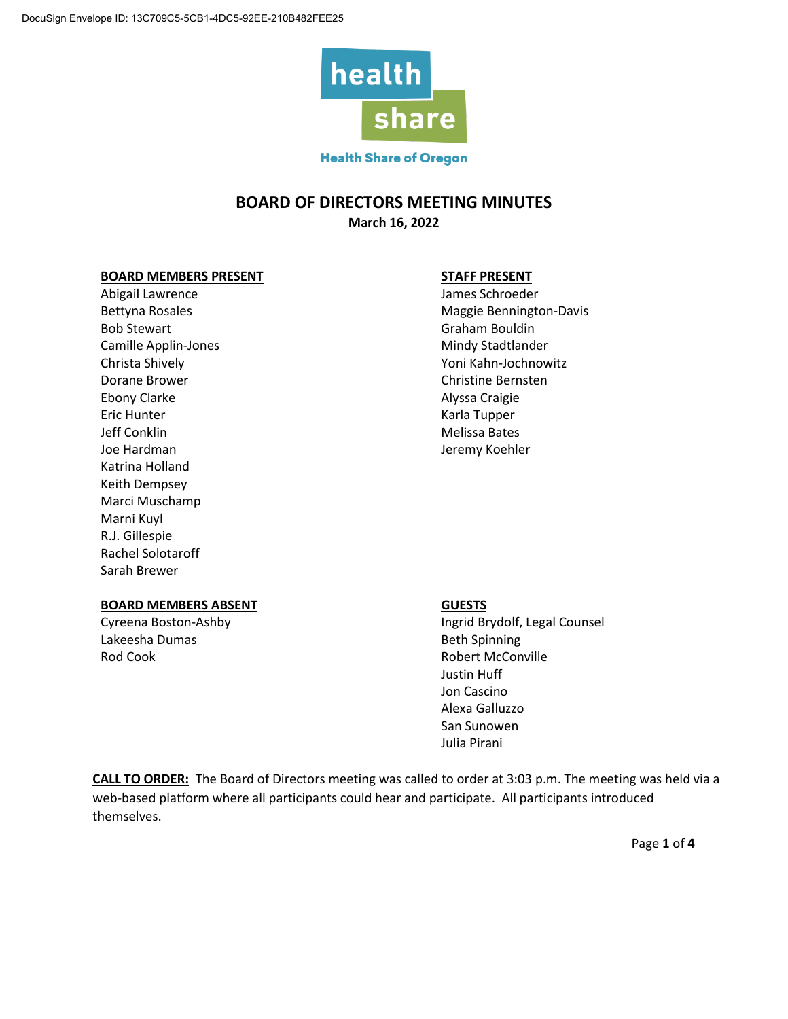

### **Health Share of Oregon**

## **BOARD OF DIRECTORS MEETING MINUTES**

**March 16, 2022**

#### **BOARD MEMBERS PRESENT STAFF PRESENT**

Abigail Lawrence and Abigail Lawrence and Abigail Lawrence and Abigail Lawrence and Abigail Lawrence and Abigai Bob Stewart **Graham Bouldin** Camille Applin-Jones **Mindy Stadtlander** Mindy Stadtlander Dorane Brower Christian Bernsten Christian Bernsten Christian Bernsten Christian Bernsten Christian Bernsten Ch Ebony Clarke **Alyssa Craigie** Eric Hunter **Karla Tupper** Karla Tupper Jeff Conklin Melissa Bates Joe Hardman Jeremy Koehler Katrina Holland Keith Dempsey Marci Muschamp Marni Kuyl R.J. Gillespie Rachel Solotaroff Sarah Brewer

Bettyna Rosales **Maggie Bennington-Davis** Maggie Bennington-Davis Christa Shively **The Christian Christian Christian Christian Christian Christian Christian Christian Christian Christian Christian Christian Christian Christian Christian Christian Christian Christian Christian Christian C** 

#### **BOARD MEMBERS ABSENT GUESTS**

Lakeesha Dumas Beth Spinning Rod Cook **Robert McConville** 

Cyreena Boston-Ashby **Ingrid Brydolf, Legal Counsel** Justin Huff Jon Cascino Alexa Galluzzo San Sunowen Julia Pirani

**CALL TO ORDER:** The Board of Directors meeting was called to order at 3:03 p.m. The meeting was held via a web-based platform where all participants could hear and participate. All participants introduced themselves.

Page **1** of **4**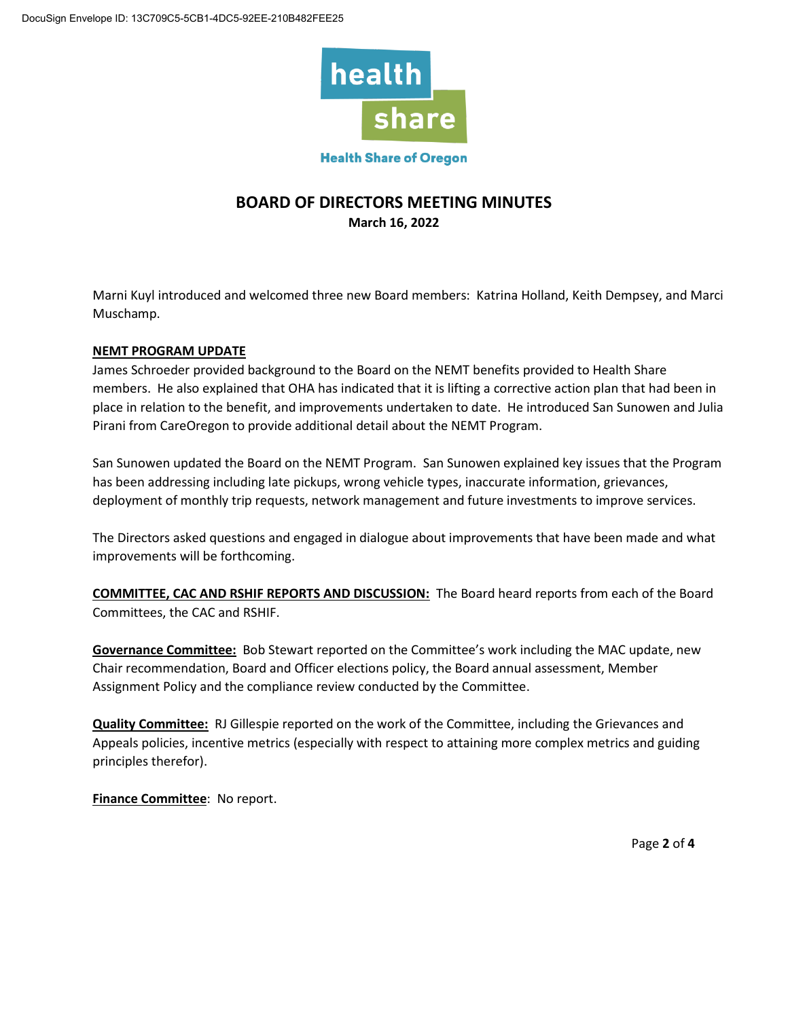

#### **Health Share of Oregon**

## **BOARD OF DIRECTORS MEETING MINUTES March 16, 2022**

Marni Kuyl introduced and welcomed three new Board members: Katrina Holland, Keith Dempsey, and Marci Muschamp.

### **NEMT PROGRAM UPDATE**

James Schroeder provided background to the Board on the NEMT benefits provided to Health Share members. He also explained that OHA has indicated that it is lifting a corrective action plan that had been in place in relation to the benefit, and improvements undertaken to date. He introduced San Sunowen and Julia Pirani from CareOregon to provide additional detail about the NEMT Program.

San Sunowen updated the Board on the NEMT Program. San Sunowen explained key issues that the Program has been addressing including late pickups, wrong vehicle types, inaccurate information, grievances, deployment of monthly trip requests, network management and future investments to improve services.

The Directors asked questions and engaged in dialogue about improvements that have been made and what improvements will be forthcoming.

**COMMITTEE, CAC AND RSHIF REPORTS AND DISCUSSION:** The Board heard reports from each of the Board Committees, the CAC and RSHIF.

**Governance Committee:** Bob Stewart reported on the Committee's work including the MAC update, new Chair recommendation, Board and Officer elections policy, the Board annual assessment, Member Assignment Policy and the compliance review conducted by the Committee.

**Quality Committee:** RJ Gillespie reported on the work of the Committee, including the Grievances and Appeals policies, incentive metrics (especially with respect to attaining more complex metrics and guiding principles therefor).

**Finance Committee**: No report.

Page **2** of **4**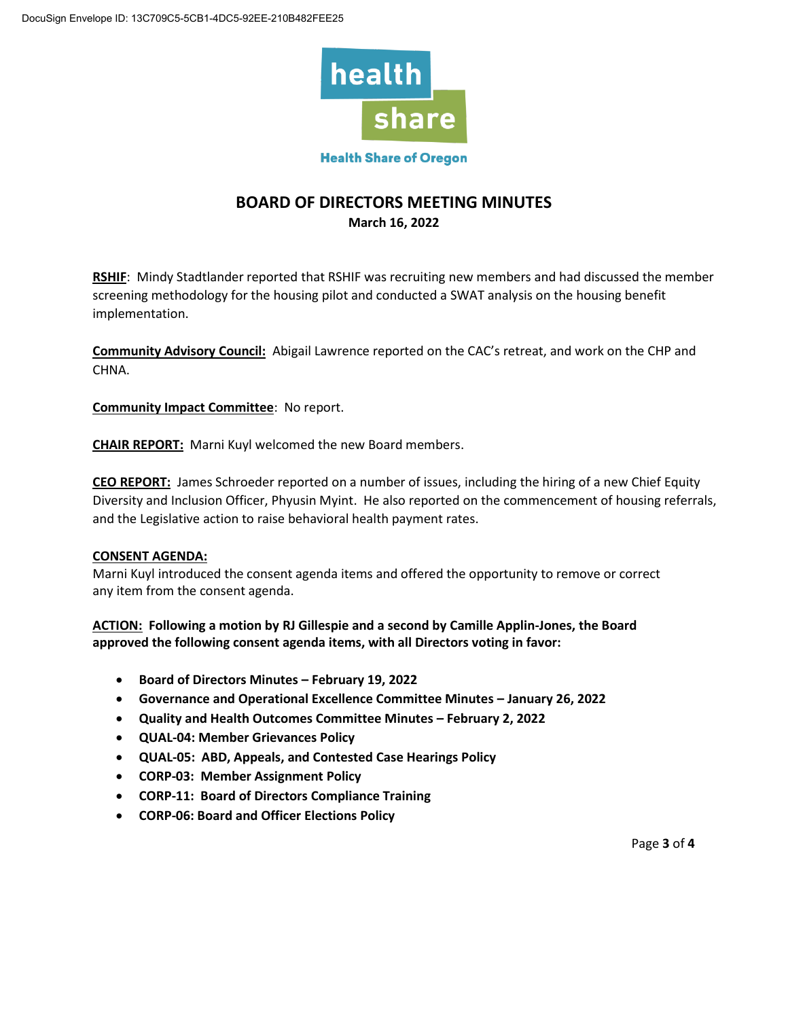

## **BOARD OF DIRECTORS MEETING MINUTES March 16, 2022**

**RSHIF**: Mindy Stadtlander reported that RSHIF was recruiting new members and had discussed the member screening methodology for the housing pilot and conducted a SWAT analysis on the housing benefit implementation.

**Community Advisory Council:** Abigail Lawrence reported on the CAC's retreat, and work on the CHP and CHNA.

**Community Impact Committee**: No report.

**CHAIR REPORT:** Marni Kuyl welcomed the new Board members.

**CEO REPORT:** James Schroeder reported on a number of issues, including the hiring of a new Chief Equity Diversity and Inclusion Officer, Phyusin Myint. He also reported on the commencement of housing referrals, and the Legislative action to raise behavioral health payment rates.

### **CONSENT AGENDA:**

Marni Kuyl introduced the consent agenda items and offered the opportunity to remove or correct any item from the consent agenda.

**ACTION: Following a motion by RJ Gillespie and a second by Camille Applin-Jones, the Board approved the following consent agenda items, with all Directors voting in favor:** 

- **Board of Directors Minutes – February 19, 2022**
- **Governance and Operational Excellence Committee Minutes – January 26, 2022**
- **Quality and Health Outcomes Committee Minutes – February 2, 2022**
- **QUAL-04: Member Grievances Policy**
- **QUAL-05: ABD, Appeals, and Contested Case Hearings Policy**
- **CORP-03: Member Assignment Policy**
- **CORP-11: Board of Directors Compliance Training**
- **CORP-06: Board and Officer Elections Policy**

Page **3** of **4**